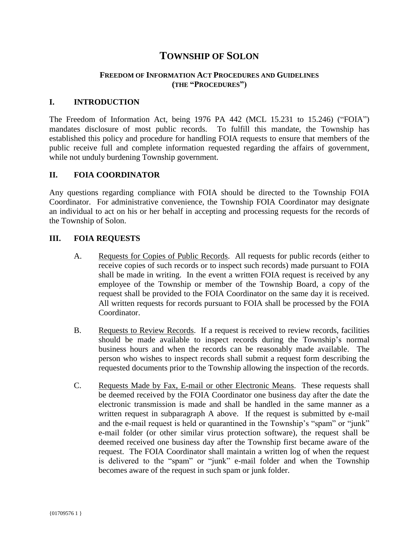# **TOWNSHIP OF SOLON**

### **FREEDOM OF INFORMATION ACT PROCEDURES AND GUIDELINES (THE "PROCEDURES")**

#### **I. INTRODUCTION**

The Freedom of Information Act, being 1976 PA 442 (MCL 15.231 to 15.246) ("FOIA") mandates disclosure of most public records. To fulfill this mandate, the Township has established this policy and procedure for handling FOIA requests to ensure that members of the public receive full and complete information requested regarding the affairs of government, while not unduly burdening Township government.

#### **II. FOIA COORDINATOR**

Any questions regarding compliance with FOIA should be directed to the Township FOIA Coordinator. For administrative convenience, the Township FOIA Coordinator may designate an individual to act on his or her behalf in accepting and processing requests for the records of the Township of Solon.

#### **III. FOIA REQUESTS**

- A. Requests for Copies of Public Records. All requests for public records (either to receive copies of such records or to inspect such records) made pursuant to FOIA shall be made in writing. In the event a written FOIA request is received by any employee of the Township or member of the Township Board, a copy of the request shall be provided to the FOIA Coordinator on the same day it is received. All written requests for records pursuant to FOIA shall be processed by the FOIA Coordinator.
- B. Requests to Review Records. If a request is received to review records, facilities should be made available to inspect records during the Township's normal business hours and when the records can be reasonably made available. The person who wishes to inspect records shall submit a request form describing the requested documents prior to the Township allowing the inspection of the records.
- C. Requests Made by Fax, E-mail or other Electronic Means. These requests shall be deemed received by the FOIA Coordinator one business day after the date the electronic transmission is made and shall be handled in the same manner as a written request in subparagraph A above. If the request is submitted by e-mail and the e-mail request is held or quarantined in the Township's "spam" or "junk" e-mail folder (or other similar virus protection software), the request shall be deemed received one business day after the Township first became aware of the request. The FOIA Coordinator shall maintain a written log of when the request is delivered to the "spam" or "junk" e-mail folder and when the Township becomes aware of the request in such spam or junk folder.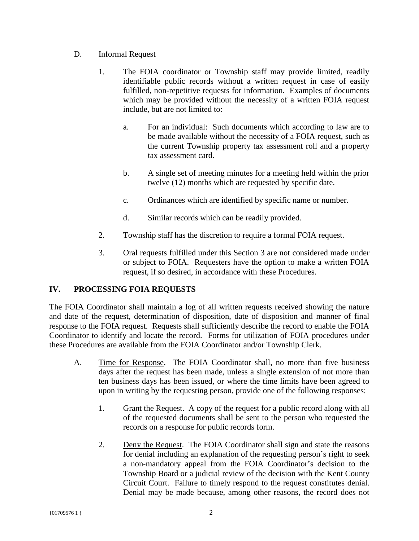# D. Informal Request

- 1. The FOIA coordinator or Township staff may provide limited, readily identifiable public records without a written request in case of easily fulfilled, non-repetitive requests for information. Examples of documents which may be provided without the necessity of a written FOIA request include, but are not limited to:
	- a. For an individual: Such documents which according to law are to be made available without the necessity of a FOIA request, such as the current Township property tax assessment roll and a property tax assessment card.
	- b. A single set of meeting minutes for a meeting held within the prior twelve (12) months which are requested by specific date.
	- c. Ordinances which are identified by specific name or number.
	- d. Similar records which can be readily provided.
- 2. Township staff has the discretion to require a formal FOIA request.
- 3. Oral requests fulfilled under this Section 3 are not considered made under or subject to FOIA. Requesters have the option to make a written FOIA request, if so desired, in accordance with these Procedures.

# **IV. PROCESSING FOIA REQUESTS**

The FOIA Coordinator shall maintain a log of all written requests received showing the nature and date of the request, determination of disposition, date of disposition and manner of final response to the FOIA request. Requests shall sufficiently describe the record to enable the FOIA Coordinator to identify and locate the record. Forms for utilization of FOIA procedures under these Procedures are available from the FOIA Coordinator and/or Township Clerk.

- A. Time for Response. The FOIA Coordinator shall, no more than five business days after the request has been made, unless a single extension of not more than ten business days has been issued, or where the time limits have been agreed to upon in writing by the requesting person, provide one of the following responses:
	- 1. Grant the Request. A copy of the request for a public record along with all of the requested documents shall be sent to the person who requested the records on a response for public records form.
	- 2. Deny the Request. The FOIA Coordinator shall sign and state the reasons for denial including an explanation of the requesting person's right to seek a non‐mandatory appeal from the FOIA Coordinator's decision to the Township Board or a judicial review of the decision with the Kent County Circuit Court. Failure to timely respond to the request constitutes denial. Denial may be made because, among other reasons, the record does not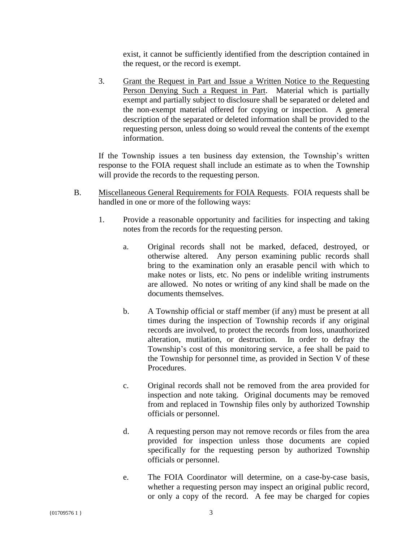exist, it cannot be sufficiently identified from the description contained in the request, or the record is exempt.

3. Grant the Request in Part and Issue a Written Notice to the Requesting Person Denying Such a Request in Part. Material which is partially exempt and partially subject to disclosure shall be separated or deleted and the non‐exempt material offered for copying or inspection. A general description of the separated or deleted information shall be provided to the requesting person, unless doing so would reveal the contents of the exempt information.

If the Township issues a ten business day extension, the Township's written response to the FOIA request shall include an estimate as to when the Township will provide the records to the requesting person.

- B. Miscellaneous General Requirements for FOIA Requests. FOIA requests shall be handled in one or more of the following ways:
	- 1. Provide a reasonable opportunity and facilities for inspecting and taking notes from the records for the requesting person.
		- a. Original records shall not be marked, defaced, destroyed, or otherwise altered. Any person examining public records shall bring to the examination only an erasable pencil with which to make notes or lists, etc. No pens or indelible writing instruments are allowed. No notes or writing of any kind shall be made on the documents themselves.
		- b. A Township official or staff member (if any) must be present at all times during the inspection of Township records if any original records are involved, to protect the records from loss, unauthorized alteration, mutilation, or destruction. In order to defray the Township's cost of this monitoring service, a fee shall be paid to the Township for personnel time, as provided in Section V of these Procedures.
		- c. Original records shall not be removed from the area provided for inspection and note taking. Original documents may be removed from and replaced in Township files only by authorized Township officials or personnel.
		- d. A requesting person may not remove records or files from the area provided for inspection unless those documents are copied specifically for the requesting person by authorized Township officials or personnel.
		- e. The FOIA Coordinator will determine, on a case-by-case basis, whether a requesting person may inspect an original public record, or only a copy of the record. A fee may be charged for copies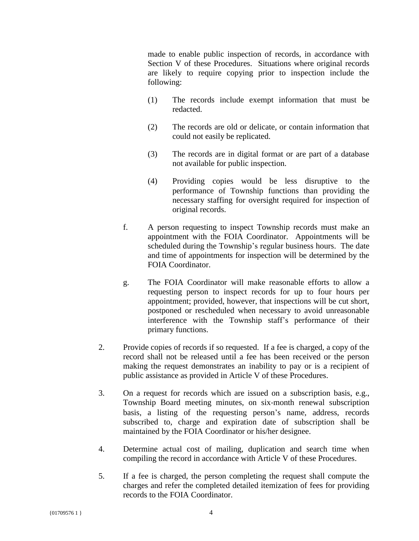made to enable public inspection of records, in accordance with Section V of these Procedures. Situations where original records are likely to require copying prior to inspection include the following:

- (1) The records include exempt information that must be redacted.
- (2) The records are old or delicate, or contain information that could not easily be replicated.
- (3) The records are in digital format or are part of a database not available for public inspection.
- (4) Providing copies would be less disruptive to the performance of Township functions than providing the necessary staffing for oversight required for inspection of original records.
- f. A person requesting to inspect Township records must make an appointment with the FOIA Coordinator. Appointments will be scheduled during the Township's regular business hours. The date and time of appointments for inspection will be determined by the FOIA Coordinator.
- g. The FOIA Coordinator will make reasonable efforts to allow a requesting person to inspect records for up to four hours per appointment; provided, however, that inspections will be cut short, postponed or rescheduled when necessary to avoid unreasonable interference with the Township staff's performance of their primary functions.
- 2. Provide copies of records if so requested. If a fee is charged, a copy of the record shall not be released until a fee has been received or the person making the request demonstrates an inability to pay or is a recipient of public assistance as provided in Article V of these Procedures.
- 3. On a request for records which are issued on a subscription basis, e.g., Township Board meeting minutes, on six‐month renewal subscription basis, a listing of the requesting person's name, address, records subscribed to, charge and expiration date of subscription shall be maintained by the FOIA Coordinator or his/her designee.
- 4. Determine actual cost of mailing, duplication and search time when compiling the record in accordance with Article V of these Procedures.
- 5. If a fee is charged, the person completing the request shall compute the charges and refer the completed detailed itemization of fees for providing records to the FOIA Coordinator.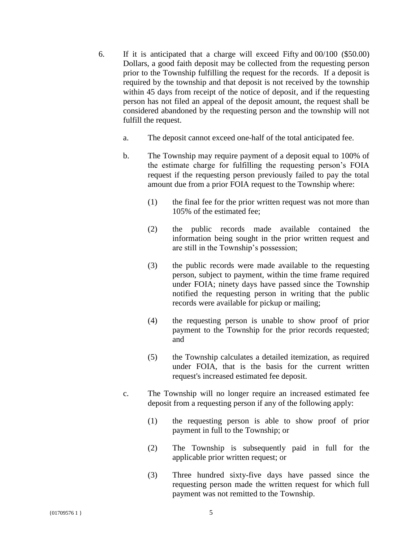- 6. If it is anticipated that a charge will exceed Fifty and 00/100 (\$50.00) Dollars, a good faith deposit may be collected from the requesting person prior to the Township fulfilling the request for the records. If a deposit is required by the township and that deposit is not received by the township within 45 days from receipt of the notice of deposit, and if the requesting person has not filed an appeal of the deposit amount, the request shall be considered abandoned by the requesting person and the township will not fulfill the request.
	- a. The deposit cannot exceed one‐half of the total anticipated fee.
	- b. The Township may require payment of a deposit equal to 100% of the estimate charge for fulfilling the requesting person's FOIA request if the requesting person previously failed to pay the total amount due from a prior FOIA request to the Township where:
		- (1) the final fee for the prior written request was not more than 105% of the estimated fee;
		- (2) the public records made available contained the information being sought in the prior written request and are still in the Township's possession;
		- (3) the public records were made available to the requesting person, subject to payment, within the time frame required under FOIA; ninety days have passed since the Township notified the requesting person in writing that the public records were available for pickup or mailing;
		- (4) the requesting person is unable to show proof of prior payment to the Township for the prior records requested; and
		- (5) the Township calculates a detailed itemization, as required under FOIA, that is the basis for the current written request's increased estimated fee deposit.
	- c. The Township will no longer require an increased estimated fee deposit from a requesting person if any of the following apply:
		- (1) the requesting person is able to show proof of prior payment in full to the Township; or
		- (2) The Township is subsequently paid in full for the applicable prior written request; or
		- (3) Three hundred sixty-five days have passed since the requesting person made the written request for which full payment was not remitted to the Township.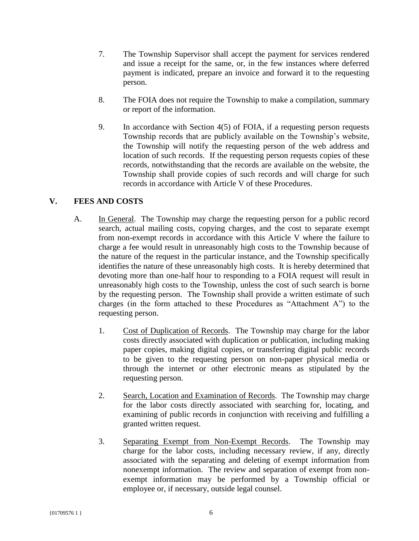- 7. The Township Supervisor shall accept the payment for services rendered and issue a receipt for the same, or, in the few instances where deferred payment is indicated, prepare an invoice and forward it to the requesting person.
- 8. The FOIA does not require the Township to make a compilation, summary or report of the information.
- 9. In accordance with Section 4(5) of FOIA, if a requesting person requests Township records that are publicly available on the Township's website, the Township will notify the requesting person of the web address and location of such records. If the requesting person requests copies of these records, notwithstanding that the records are available on the website, the Township shall provide copies of such records and will charge for such records in accordance with Article V of these Procedures.

# **V. FEES AND COSTS**

- A. In General. The Township may charge the requesting person for a public record search, actual mailing costs, copying charges, and the cost to separate exempt from non-exempt records in accordance with this Article V where the failure to charge a fee would result in unreasonably high costs to the Township because of the nature of the request in the particular instance, and the Township specifically identifies the nature of these unreasonably high costs. It is hereby determined that devoting more than one-half hour to responding to a FOIA request will result in unreasonably high costs to the Township, unless the cost of such search is borne by the requesting person. The Township shall provide a written estimate of such charges (in the form attached to these Procedures as "Attachment A") to the requesting person.
	- 1. Cost of Duplication of Records. The Township may charge for the labor costs directly associated with duplication or publication, including making paper copies, making digital copies, or transferring digital public records to be given to the requesting person on non-paper physical media or through the internet or other electronic means as stipulated by the requesting person.
	- 2. Search, Location and Examination of Records. The Township may charge for the labor costs directly associated with searching for, locating, and examining of public records in conjunction with receiving and fulfilling a granted written request.
	- 3. Separating Exempt from Non-Exempt Records. The Township may charge for the labor costs, including necessary review, if any, directly associated with the separating and deleting of exempt information from nonexempt information. The review and separation of exempt from nonexempt information may be performed by a Township official or employee or, if necessary, outside legal counsel.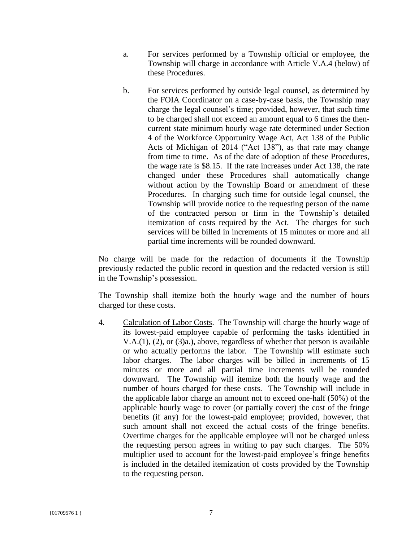- a. For services performed by a Township official or employee, the Township will charge in accordance with Article V.A.4 (below) of these Procedures.
- b. For services performed by outside legal counsel, as determined by the FOIA Coordinator on a case-by-case basis, the Township may charge the legal counsel's time; provided, however, that such time to be charged shall not exceed an amount equal to 6 times the thencurrent state minimum hourly wage rate determined under Section 4 of the Workforce Opportunity Wage Act, Act 138 of the Public Acts of Michigan of 2014 ("Act 138"), as that rate may change from time to time. As of the date of adoption of these Procedures, the wage rate is \$8.15. If the rate increases under Act 138, the rate changed under these Procedures shall automatically change without action by the Township Board or amendment of these Procedures. In charging such time for outside legal counsel, the Township will provide notice to the requesting person of the name of the contracted person or firm in the Township's detailed itemization of costs required by the Act. The charges for such services will be billed in increments of 15 minutes or more and all partial time increments will be rounded downward.

No charge will be made for the redaction of documents if the Township previously redacted the public record in question and the redacted version is still in the Township's possession.

The Township shall itemize both the hourly wage and the number of hours charged for these costs.

4. Calculation of Labor Costs. The Township will charge the hourly wage of its lowest-paid employee capable of performing the tasks identified in V.A.(1), (2), or (3)a.), above, regardless of whether that person is available or who actually performs the labor. The Township will estimate such labor charges. The labor charges will be billed in increments of 15 minutes or more and all partial time increments will be rounded downward. The Township will itemize both the hourly wage and the number of hours charged for these costs. The Township will include in the applicable labor charge an amount not to exceed one-half (50%) of the applicable hourly wage to cover (or partially cover) the cost of the fringe benefits (if any) for the lowest-paid employee; provided, however, that such amount shall not exceed the actual costs of the fringe benefits. Overtime charges for the applicable employee will not be charged unless the requesting person agrees in writing to pay such charges. The 50% multiplier used to account for the lowest-paid employee's fringe benefits is included in the detailed itemization of costs provided by the Township to the requesting person.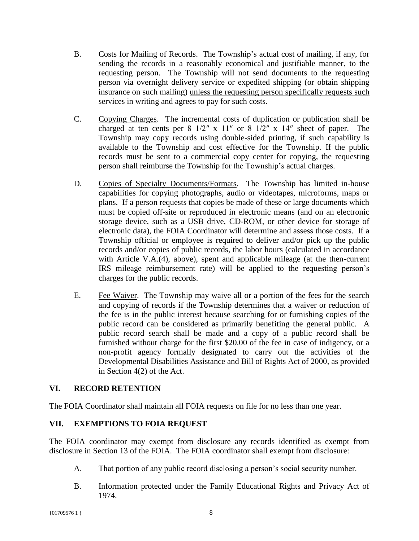- B. Costs for Mailing of Records. The Township's actual cost of mailing, if any, for sending the records in a reasonably economical and justifiable manner, to the requesting person. The Township will not send documents to the requesting person via overnight delivery service or expedited shipping (or obtain shipping insurance on such mailing) unless the requesting person specifically requests such services in writing and agrees to pay for such costs.
- C. Copying Charges. The incremental costs of duplication or publication shall be charged at ten cents per  $8 \frac{1}{2}$ " x  $11$ " or  $8 \frac{1}{2}$ " x  $14$ " sheet of paper. The Township may copy records using double-sided printing, if such capability is available to the Township and cost effective for the Township. If the public records must be sent to a commercial copy center for copying, the requesting person shall reimburse the Township for the Township's actual charges.
- D. Copies of Specialty Documents/Formats. The Township has limited in-house capabilities for copying photographs, audio or videotapes, microforms, maps or plans. If a person requests that copies be made of these or large documents which must be copied off-site or reproduced in electronic means (and on an electronic storage device, such as a USB drive, CD-ROM, or other device for storage of electronic data), the FOIA Coordinator will determine and assess those costs. If a Township official or employee is required to deliver and/or pick up the public records and/or copies of public records, the labor hours (calculated in accordance with Article V.A.(4), above), spent and applicable mileage (at the then-current IRS mileage reimbursement rate) will be applied to the requesting person's charges for the public records.
- E. Fee Waiver. The Township may waive all or a portion of the fees for the search and copying of records if the Township determines that a waiver or reduction of the fee is in the public interest because searching for or furnishing copies of the public record can be considered as primarily benefiting the general public. A public record search shall be made and a copy of a public record shall be furnished without charge for the first \$20.00 of the fee in case of indigency, or a non-profit agency formally designated to carry out the activities of the Developmental Disabilities Assistance and Bill of Rights Act of 2000, as provided in Section 4(2) of the Act.

# **VI. RECORD RETENTION**

The FOIA Coordinator shall maintain all FOIA requests on file for no less than one year.

# **VII. EXEMPTIONS TO FOIA REQUEST**

The FOIA coordinator may exempt from disclosure any records identified as exempt from disclosure in Section 13 of the FOIA. The FOIA coordinator shall exempt from disclosure:

- A. That portion of any public record disclosing a person's social security number.
- B. Information protected under the Family Educational Rights and Privacy Act of 1974.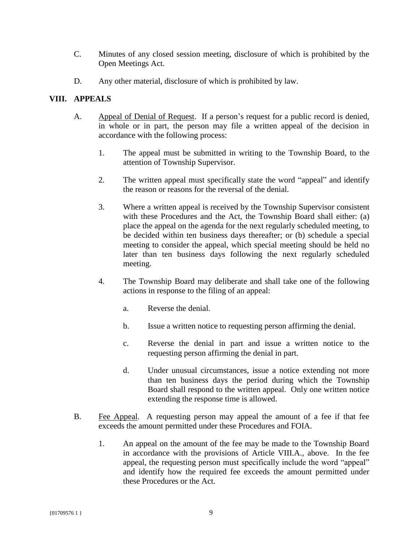- C. Minutes of any closed session meeting, disclosure of which is prohibited by the Open Meetings Act.
- D. Any other material, disclosure of which is prohibited by law.

### **VIII. APPEALS**

- A. Appeal of Denial of Request. If a person's request for a public record is denied, in whole or in part, the person may file a written appeal of the decision in accordance with the following process:
	- 1. The appeal must be submitted in writing to the Township Board, to the attention of Township Supervisor.
	- 2. The written appeal must specifically state the word "appeal" and identify the reason or reasons for the reversal of the denial.
	- 3. Where a written appeal is received by the Township Supervisor consistent with these Procedures and the Act, the Township Board shall either: (a) place the appeal on the agenda for the next regularly scheduled meeting, to be decided within ten business days thereafter; or (b) schedule a special meeting to consider the appeal, which special meeting should be held no later than ten business days following the next regularly scheduled meeting.
	- 4. The Township Board may deliberate and shall take one of the following actions in response to the filing of an appeal:
		- a. Reverse the denial.
		- b. Issue a written notice to requesting person affirming the denial.
		- c. Reverse the denial in part and issue a written notice to the requesting person affirming the denial in part.
		- d. Under unusual circumstances, issue a notice extending not more than ten business days the period during which the Township Board shall respond to the written appeal. Only one written notice extending the response time is allowed.
- B. Fee Appeal. A requesting person may appeal the amount of a fee if that fee exceeds the amount permitted under these Procedures and FOIA.
	- 1. An appeal on the amount of the fee may be made to the Township Board in accordance with the provisions of Article VIII.A., above. In the fee appeal, the requesting person must specifically include the word "appeal" and identify how the required fee exceeds the amount permitted under these Procedures or the Act.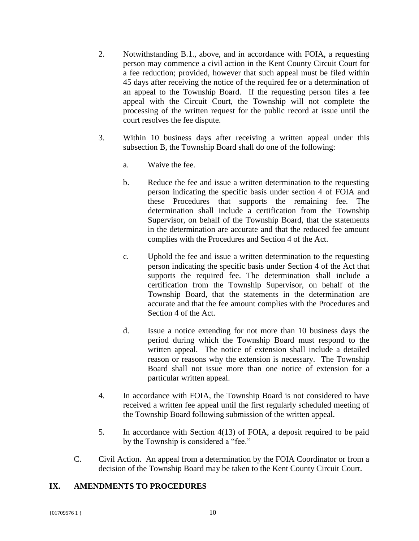- 2. Notwithstanding B.1., above, and in accordance with FOIA, a requesting person may commence a civil action in the Kent County Circuit Court for a fee reduction; provided, however that such appeal must be filed within 45 days after receiving the notice of the required fee or a determination of an appeal to the Township Board. If the requesting person files a fee appeal with the Circuit Court, the Township will not complete the processing of the written request for the public record at issue until the court resolves the fee dispute.
- 3. Within 10 business days after receiving a written appeal under this subsection B, the Township Board shall do one of the following:
	- a. Waive the fee.
	- b. Reduce the fee and issue a written determination to the requesting person indicating the specific basis under section 4 of FOIA and these Procedures that supports the remaining fee. The determination shall include a certification from the Township Supervisor, on behalf of the Township Board, that the statements in the determination are accurate and that the reduced fee amount complies with the Procedures and Section 4 of the Act.
	- c. Uphold the fee and issue a written determination to the requesting person indicating the specific basis under Section 4 of the Act that supports the required fee. The determination shall include a certification from the Township Supervisor, on behalf of the Township Board, that the statements in the determination are accurate and that the fee amount complies with the Procedures and Section 4 of the Act.
	- d. Issue a notice extending for not more than 10 business days the period during which the Township Board must respond to the written appeal. The notice of extension shall include a detailed reason or reasons why the extension is necessary. The Township Board shall not issue more than one notice of extension for a particular written appeal.
- 4. In accordance with FOIA, the Township Board is not considered to have received a written fee appeal until the first regularly scheduled meeting of the Township Board following submission of the written appeal.
- 5. In accordance with Section 4(13) of FOIA, a deposit required to be paid by the Township is considered a "fee."
- C. Civil Action. An appeal from a determination by the FOIA Coordinator or from a decision of the Township Board may be taken to the Kent County Circuit Court.

# **IX. AMENDMENTS TO PROCEDURES**